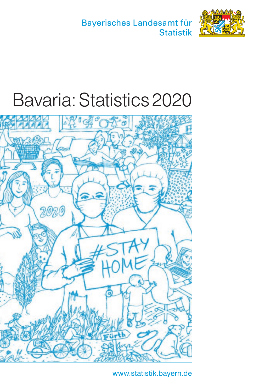Bayerisches Landesamt für **Statistik** 



# Bavaria: Statistics 2020



www.statistik.bayern.de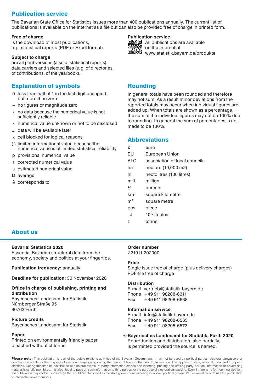# Publication service

The Bavarian State Office for Statistics issues more than 400 publications annually. The current list of publications is available on the Internet as a file but can also be provided free of charge in printed form.

#### **Free of charge**

is the download of most publications, e. g. statistical reports (PDF or Excel format).

#### **Subject to charge**

are all print versions (also of statistical reports), data carriers and selected files (e.g. of directories, of contributions, of the yearbook).

## Explanation of symbols

- 0 less than half of 1 in the last digit occupied, but more than zero
- $-$  no figures or magnitude zero
- / no data because the numerical value is not sufficiently reliable
- · numerical value unknown or not to be disclosed
- ... data will be available later
- x cell blocked for logical reasons
- ( ) limited informational value because the numerical value is of limited statistical reliability
- p provisional numerical value
- r corrected numerical value
- s estimated numerical value
- D average
- ≙ corresponds to

#### **Publication service**



**ENGE All publications are available on the Internet at** www.statistik.bayern.de/produkte

#### Rounding

In general totals have been rounded and therefore may not sum. As a result minor deviations from the reported totals may occur when individual figures are added up. When totals are shown as a percentage, the sum of the individual figures may not be 100  $\%$  due to rounding. In general the sum of percentages is not made to be 100%.

#### Abbreviations

| €.              | euro                          |
|-----------------|-------------------------------|
| EU              | European Union                |
| <b>ALC</b>      | association of local councils |
| ha              | hectare (10,000 m2)           |
| hl              | hectolitres (100 litres)      |
| mill.           | million                       |
| %               | percent                       |
| km <sup>2</sup> | square kilometre              |
| m <sup>2</sup>  | square metre                  |
| pcs.            | piece                         |
| TJ              | 10 <sup>12</sup> Joules       |
| t               | tonne                         |
|                 |                               |

## About us

#### **Bavaria: Statistics 2020**

Essential Bavarian structural data from the economy, society and politics at your fingertips.

**Publication frequency:** annually

**Deadline for publication:** 30 November 2020

#### **Office in charge of publishing, printing and distribution**

Bayerisches Landesamt für Statistik Nürnberger Straße 95 90762 Fürth

#### **Picture credits** Bayerisches Landesamt für Statistik

#### **Paper**

Printed on environmentally friendly paper bleached without chlorine

#### **Order number**

Z21011 202000

#### **Price**

Single issue free of charge (plus delivery charges) PDF-file free of charge

#### **Distribution**

E-mail vertrieb@statistik.bayern.de Phone +49 911 98208-6311 Fax +49 911 98208-6638

#### **Information service**

E-mail info@statistik.bayern.de Phone +49 911 98208-6563 Fax +49 911 98208-6573

#### © **Bayerisches Landesamt für Statistik, Fürth 2020** Reproduction and distribution, also partially, is permitted provided the source is named.

Please note: This publication is part of the public relations activities of the Bavarian Government. It may not be used by political parties, electoral canvassers or counting assistants for the purpose of election campaigning during the period of five months prior to an election. This applies to state, national, local and European elections. During this time its distribution at electoral events, at party information stands and inserting, printing and affixing party political information or advertising material is strictly prohibited. It is also illegal to pass on such information to third parties for the purpose of electoral canvassing. Even if there is no forthcoming election the publication may not be used in ways that could be interpreted as the state government favouring individual political groups. Parties are allowed to use the publication to inform their own members.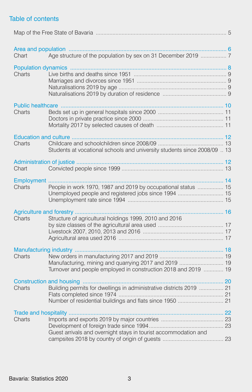# Table of contents

| Chart  |                                                                                                                       |  |
|--------|-----------------------------------------------------------------------------------------------------------------------|--|
| Charts |                                                                                                                       |  |
| Charts |                                                                                                                       |  |
| Charts | Students at vocational schools and university students since 2008/09  13                                              |  |
| Chart  |                                                                                                                       |  |
| Charts | People in work 1970, 1987 and 2019 by occupational status  15<br>Unemployed people and registered jobs since 1994  15 |  |
| Charts | Structure of agricultural holdings 1999, 2010 and 2016                                                                |  |
| Charts | Turnover and people employed in construction 2018 and 2019  19                                                        |  |
| Charts | Building permits for dwellings in administrative districts 2019  21                                                   |  |
| Charts | Guest arrivals and overnight stays in tourist accommodation and                                                       |  |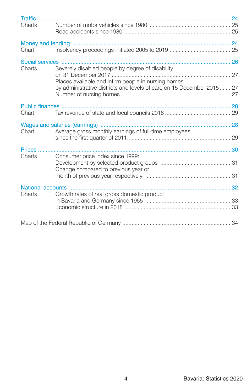| Traffic. |                                                                                        |  |
|----------|----------------------------------------------------------------------------------------|--|
| Charts   |                                                                                        |  |
| Chart    |                                                                                        |  |
|          |                                                                                        |  |
| Charts   | Severely disabled people by degree of disability                                       |  |
|          | Places available and infirm people in nursing homes                                    |  |
|          | by administrative districts and levels of care on 15 December 2015 27                  |  |
|          |                                                                                        |  |
| Chart    |                                                                                        |  |
| Chart    | Wages and salaries (earnings)<br>Average gross monthly earnings of full-time employees |  |
|          |                                                                                        |  |
| Prices.  |                                                                                        |  |
| Charts   | Consumer price index since 1999:                                                       |  |
|          | Change compared to previous year or                                                    |  |
|          | National accounts                                                                      |  |
| Charts   | Growth rates of real gross domestic product                                            |  |
|          |                                                                                        |  |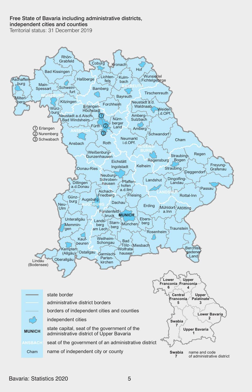# Free State of Bavaria including administrative districts,

independent cities and counties **State of Bavaria including administrative districts**, and

Territorial status: 31 December 2019

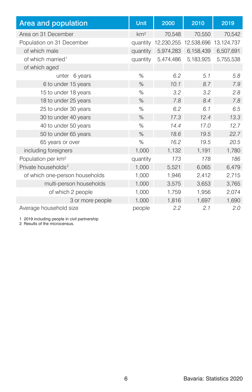| Area and population             | <b>Unit</b>     | 2000       | 2010                  | 2019      |
|---------------------------------|-----------------|------------|-----------------------|-----------|
| Area on 31 December             | km <sup>2</sup> | 70,548     | 70,550                | 70,542    |
| Population on 31 December       | quantity        | 12,230,255 | 12,538,696 13,124,737 |           |
| of which male                   | quantity        | 5,974,283  | 6,158,439             | 6,507,691 |
| of which married <sup>1</sup>   | quantity        | 5,474,486  | 5,183,925             | 5,755,538 |
| of which aged                   |                 |            |                       |           |
| 6 years<br>unter                | %               | 6.2        | 5.1                   | 5.8       |
| 6 to under 15 years             | %               | 10.1       | 8.7                   | 7.9       |
| 15 to under 18 years            | $\%$            | 3.2        | 3.2                   | 2.8       |
| 18 to under 25 years            | $\%$            | 7.8        | 8.4                   | 7.8       |
| 25 to under 30 years            | %               | 6.2        | 6.1                   | 6.5       |
| 30 to under 40 years            | %               | 17.3       | 12.4                  | 13.3      |
| 40 to under 50 years            | %               | 14.4       | 17.0                  | 12.7      |
| 50 to under 65 years            | $\%$            | 18.6       | 19.5                  | 22.7      |
| 65 years or over                | $\%$            | 16.2       | 19.5                  | 20.5      |
| including foreigners            | 1,000           | 1,132      | 1,191                 | 1,780     |
| Population per km <sup>2</sup>  | quantity        | 173        | 178                   | 186       |
| Private households <sup>2</sup> | 1,000           | 5,521      | 6,065                 | 6,479     |
| of which one-person households  | 1,000           | 1,946      | 2,412                 | 2,715     |
| multi-person households         | 1,000           | 3,575      | 3,653                 | 3,765     |
| of which 2 people               | 1,000           | 1,759      | 1,956                 | 2,074     |
| 3 or more people                | 1,000           | 1,816      | 1,697                 | 1,690     |
| Average household size          | people          | 2.2        | 2.1                   | 2.0       |

1 2019 including people in civil partnership 2 Results of the microcensus.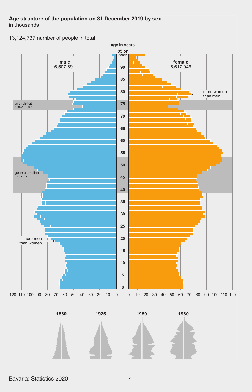# **Age structure of the population on 31 December 2019 by sex**

in thousands

13,124,737 number of people in total







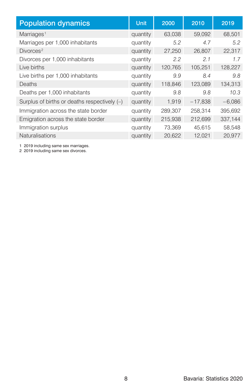| <b>Population dynamics</b>                   | Unit     | 2000    | 2010      | 2019     |
|----------------------------------------------|----------|---------|-----------|----------|
| Marriages <sup>1</sup>                       | quantity | 63,038  | 59.092    | 68.501   |
| Marriages per 1,000 inhabitants              | quantity | 5.2     | 4.7       | 5.2      |
| Divorces <sup>2</sup>                        | quantity | 27,250  | 26,807    | 22,317   |
| Divorces per 1,000 inhabitants               | quantity | 2.2     | 2.1       | 1.7      |
| Live births                                  | quantity | 120,765 | 105.251   | 128,227  |
| Live births per 1,000 inhabitants            | quantity | 9.9     | 8.4       | 9.8      |
| Deaths                                       | quantity | 118,846 | 123,089   | 134,313  |
| Deaths per 1,000 inhabitants                 | quantity | 9.8     | 9.8       | 10.3     |
| Surplus of births or deaths respectively (-) | quantity | 1,919   | $-17,838$ | $-6,086$ |
| Immigration across the state border          | quantity | 289,307 | 258,314   | 395,692  |
| Emigration across the state border           | quantity | 215,938 | 212,699   | 337,144  |
| Immigration surplus                          | quantity | 73,369  | 45,615    | 58,548   |
| <b>Naturalisations</b>                       | quantity | 20,622  | 12,021    | 20,977   |

1 2019 including same sex marriages. 2 2019 including same sex divorces.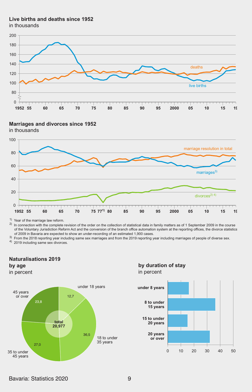#### **Live births and deaths since 1952**

in thousands



#### **Marriages and divorces since 1952**

in thousands



1) Year of the marriage law reform.

 $^{2)}$  In connection with the complete revision of the order on the collection of statistical data in family matters as of 1 September 2009 in the course of the Voluntary Jurisdiction Reform Act and the conversion of the branch office automation system at the reporting offices, the divorce statistics of 2009 in Bavaria are expected to show an under-recording of an estimated 1,900 cases.

3) From the 2018 reporting year including same sex marriages and from the 2019 reporting year including marriages of people of diverse sex.<br>4) 2019 including same sex divorces.

# **Naturalisations 2019**



in percent



## **by duration of stay** in percent

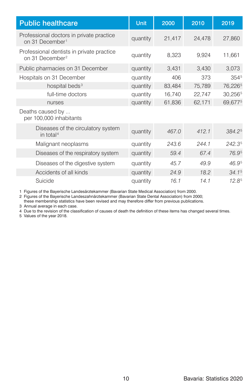| <b>Public healthcare</b>                                                 | Unit     | 2000   | 2010   | 2019              |
|--------------------------------------------------------------------------|----------|--------|--------|-------------------|
| Professional doctors in private practice<br>on 31 December <sup>1</sup>  | quantity | 21,417 | 24,478 | 27,860            |
| Professional dentists in private practice<br>on 31 December <sup>2</sup> | quantity | 8,323  | 9,924  | 11,661            |
| Public pharmacies on 31 December                                         | quantity | 3,431  | 3,430  | 3,073             |
| Hospitals on 31 December                                                 | quantity | 406    | 373    | 3545              |
| hospital beds <sup>3</sup>                                               | quantity | 83,484 | 75,789 | 76,2265           |
| full-time doctors                                                        | quantity | 16,740 | 22,747 | 30,2565           |
| nurses                                                                   | quantity | 61,836 | 62,171 | 69,6775           |
| Deaths caused by<br>per 100,000 inhabitants                              |          |        |        |                   |
| Diseases of the circulatory system<br>in total <sup>4</sup>              | quantity | 467.0  | 412.1  | 384.25            |
| Malignant neoplasms                                                      | quantity | 243.6  | 244.1  | 242.35            |
| Diseases of the respiratory system                                       | quantity | 59.4   | 67.4   | 76.95             |
| Diseases of the digestive system                                         | quantity | 45.7   | 49.9   | 46.95             |
| Accidents of all kinds                                                   | quantity | 24.9   | 18.2   | 34.1 <sup>5</sup> |
| Suicide                                                                  | quantity | 16.1   | 14.1   | $12.8^{5}$        |

1 Figures of the Bayerische Landesärztekammer (Bavarian State Medical Association) from 2000.

2 Figures of the Bayerische Landeszahnärztekammer (Bavarian State Dental Association) from 2000; these membership statistics have been revised and may therefore differ from previous publications.

3 Annual average in each case.

4 Due to the revision of the classification of causes of death the definition of these items has changed several times.

5 Values of the year 2018.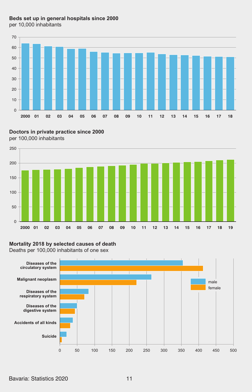# **Beds set up in general hospitals since 2000**





**Doctors in private practice since 2000** per 100,000 inhabitants



## **Mortality 2018 by selected causes of death**

Deaths per 100,000 inhabitants of one sex

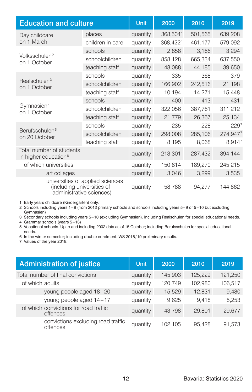| <b>Education and culture</b>                                 |                                  | Unit     | 2000     | 2010    | 2019             |
|--------------------------------------------------------------|----------------------------------|----------|----------|---------|------------------|
| Day childcare                                                | places                           | quantity | 368,5041 | 501,565 | 639,208          |
| on 1 March                                                   | children in care                 | quantity | 368,4221 | 461,177 | 579,092          |
|                                                              | schools                          | quantity | 2,858    | 3,166   | 3,294            |
| Volksschulen <sup>2</sup><br>on 1 October                    | schoolchildren                   | quantity | 858,128  | 665,334 | 637,550          |
|                                                              | teaching staff                   | quantity | 48,088   | 44,185  | 39,650           |
|                                                              | schools                          | quantity | 335      | 368     | 379              |
| Realschulen <sup>3</sup><br>on 1 October                     | schoolchildren                   | quantity | 166,902  | 242,516 | 21,198           |
|                                                              | teaching staff                   | quantity | 10,194   | 14,271  | 15,448           |
|                                                              | schools                          | quantity | 400      | 413     | 431              |
| Gymnasien <sup>4</sup><br>on 1 October                       | schoolchildren                   | quantity | 322,056  | 387,761 | 311,212          |
|                                                              | teaching staff                   | quantity | 21,779   | 26,367  | 25,134           |
|                                                              | schools                          | quantity | 235      | 228     | 229 <sup>7</sup> |
| Berufsschulen <sup>5</sup><br>on 20 October                  | schoolchildren                   | quantity | 298,008  | 285,106 | 274,9477         |
|                                                              | teaching staff                   | quantity | 8,195    | 8,068   | 8,9147           |
| Total number of students<br>in higher education <sup>6</sup> |                                  | quantity | 213,301  | 287,432 | 394,144          |
| of which universities                                        |                                  | quantity | 150,814  | 189,270 | 245,215          |
| art colleges                                                 |                                  | quantity | 3,046    | 3,299   | 3,535            |
| (including universities of<br>administrative sciences)       | universities of applied sciences | quantity | 58.788   | 94,277  | 144.862          |

1 Early years childcare (Kindergarten) only.

2 Schools including years 1 – 9 (from 2012 primary schools and schools including years 5 – 9 or 5 – 10 but excluding Gymnasien)

3 Secondary schools including years 5 – 10 (excluding Gymnasien). Including Realschulen for special educational needs.

4 Grammar schools (years 5 – 13) 5 Vocational schools. Up to and including 2002 data as of 15 October; including Berufsschulen for special educational needs.

6 In the winter semester; including double enrolment. WS 2018 / 19 preliminary results.

7 Values of the year 2018.

| Administration of justice                         | <b>Unit</b> | 2000    | 2010    | 2019    |
|---------------------------------------------------|-------------|---------|---------|---------|
| Total number of final convictions                 | quantity    | 145.903 | 125.229 | 121,250 |
| of which adults                                   | quantity    | 120.749 | 102,980 | 106,517 |
| young people aged 18-20                           | quantity    | 15,529  | 12.831  | 9,480   |
| young people aged 14-17                           | quantity    | 9,625   | 9.418   | 5,253   |
| of which convictions for road traffic<br>offences | quantity    | 43.798  | 29,801  | 29.677  |
| convictions excluding road traffic<br>offences    | quantity    | 102.105 | 95.428  | 91.573  |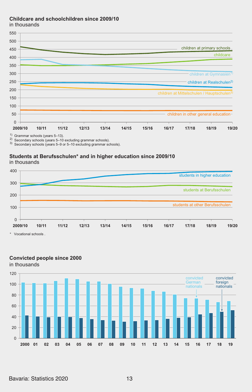#### **Childcare and schoolchildren since 2009/10**

in thousands



2) Secondary schools (years 5–10 excluding grammar schools).

3) Secondary schools (years 5–9 or 5–10 excluding grammar schools).

## **Students at Berufsschulen\* and in higher education since 2009/10**





# **Convicted people since 2000**

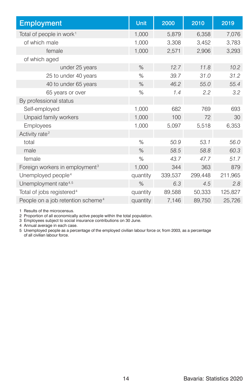| <b>Employment</b>                             | Unit     | 2000    | 2010    | 2019    |
|-----------------------------------------------|----------|---------|---------|---------|
| Total of people in work <sup>1</sup>          | 1,000    | 5,879   | 6,358   | 7,076   |
| of which male                                 | 1,000    | 3,308   | 3,452   | 3,783   |
| female                                        | 1,000    | 2,571   | 2,906   | 3,293   |
| of which aged                                 |          |         |         |         |
| under 25 years                                | $\%$     | 12.7    | 11.8    | 10.2    |
| 25 to under 40 years                          | $\%$     | 39.7    | 31.0    | 31.2    |
| 40 to under 65 years                          | %        | 46.2    | 55.0    | 55.4    |
| 65 years or over                              | %        | 1.4     | 2.2     | 3.2     |
| By professional status                        |          |         |         |         |
| Self-employed                                 | 1,000    | 682     | 769     | 693     |
| Unpaid family workers                         | 1,000    | 100     | 72      | 30      |
| <b>Employees</b>                              | 1,000    | 5,097   | 5,518   | 6,353   |
| Activity rate <sup>2</sup>                    |          |         |         |         |
| total                                         | %        | 50.9    | 53.1    | 56.0    |
| male                                          | $\%$     | 58.5    | 58.8    | 60.3    |
| female                                        | %        | 43.7    | 47.7    | 51.7    |
| Foreign workers in employment <sup>3</sup>    | 1,000    | 344     | 363     | 879     |
| Unemployed people <sup>4</sup>                | quantity | 339,537 | 299,448 | 211,965 |
| Unemployment rate <sup>4,5</sup>              | $\%$     | 6.3     | 4.5     | 2.8     |
| Total of jobs registered <sup>4</sup>         | quantity | 89,588  | 50,333  | 125,827 |
| People on a job retention scheme <sup>4</sup> | quantity | 7,146   | 89,750  | 25,726  |

1 Results of the microcensus.

2 Proportion of all economically active people within the total population. 3 Employees subject to social insurance contributions on 30 June.

4 Annual average in each case.

5 Unemployed people as a percentage of the employed civilian labour force or, from 2003, as a percentage of all civilian labour force.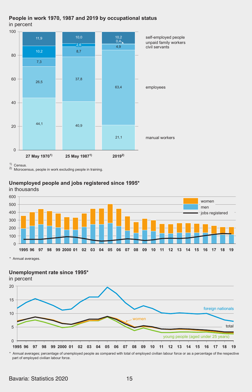



1) Census.

2) Microcensus, people in work excluding people in training.

#### **Unemployed people and jobs registered since 1995\***

in thousands



\* Annual averages.

#### **Unemployment rate since 1995\***



\* Annual averages; percentage of unemployed people as compared with total of employed civilian labour force or as a percentage of the respective part of employed civilian labour force.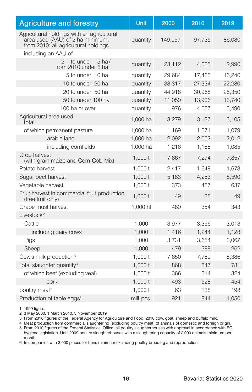| <b>Agriculture and forestry</b>                                                                                        | Unit      | 2000     | 2010   | 2019   |
|------------------------------------------------------------------------------------------------------------------------|-----------|----------|--------|--------|
| Agricultural holdings with an agricultural<br>area used (AAU) of 2 ha minimum;<br>from 2010: all agricultural holdings | quantity  | 149,0571 | 97,735 | 86,080 |
| including an AAU of                                                                                                    |           |          |        |        |
| $\mathcal{P}$<br>to under<br>$5$ ha/<br>from 2010 under 5 ha                                                           | quantity  | 23,112   | 4,035  | 2,990  |
| 5 to under 10 ha                                                                                                       | quantity  | 29.684   | 17.435 | 16.240 |
| 10 to under 20 ha                                                                                                      | quantity  | 38,317   | 27,334 | 22,280 |
| 20 to under 50 ha                                                                                                      | quantity  | 44,918   | 30,968 | 25,350 |
| 50 to under 100 ha                                                                                                     | quantity  | 11,050   | 13,906 | 13,740 |
| 100 ha or over                                                                                                         | quantity  | 1,976    | 4,057  | 5,490  |
| Agricultural area used<br>total                                                                                        | 1,000 ha  | 3,279    | 3,137  | 3,105  |
| of which permanent pasture                                                                                             | 1,000 ha  | 1,169    | 1,071  | 1,079  |
| arable land                                                                                                            | 1,000 ha  | 2,092    | 2,052  | 2,012  |
| including cornfields                                                                                                   | 1,000 ha  | 1,216    | 1,168  | 1,085  |
| Crop harvest<br>(with grain maize and Corn-Cob-Mix)                                                                    | 1.000 t   | 7,667    | 7.274  | 7,857  |
| Potato harvest                                                                                                         | 1,000 t   | 2,417    | 1,648  | 1,673  |
| Sugar beet harvest                                                                                                     | 1,000t    | 5,183    | 4,253  | 5,590  |
| Vegetable harvest                                                                                                      | 1,000 t   | 373      | 487    | 637    |
| Fruit harvest in commercial fruit production<br>(tree fruit only)                                                      | 1.000 t   | 49       | 38     | 49     |
| Grape must harvest                                                                                                     | 1.000 hl  | 480      | 354    | 343    |
| Livestock <sup>2</sup>                                                                                                 |           |          |        |        |
| Cattle                                                                                                                 | 1.000     | 3,977    | 3,356  | 3,013  |
| including dairy cows                                                                                                   | 1,000     | 1,416    | 1,244  | 1,128  |
| Pigs                                                                                                                   | 1.000     | 3.731    | 3.654  | 3,062  |
| Sheep                                                                                                                  | 1,000     | 479      | 388    | 262    |
| Cow's milk production <sup>3</sup>                                                                                     | 1,000 t   | 7,650    | 7,759  | 8,386  |
| Total slaughter quantity <sup>4</sup>                                                                                  | 1.000t    | 868      | 847    | 781    |
| of which beef (excluding veal)                                                                                         | 1,000 t   | 366      | 314    | 324    |
| pork                                                                                                                   | 1,000 t   | 493      | 528    | 454    |
| poultry meat <sup>5</sup>                                                                                              | 1.000 t   | 63       | 138    | 198    |
| Production of table eggs <sup>6</sup>                                                                                  | mill.pcs. | 921      | 844    | 1,050  |

1 1999 figure.

2 3 May 2000, 1 March 2010, 3 November 2019

3 From 2010 figures of the Federal Agency for Agriculture and Food. 2010 cow, goat, sheep and buffalo milk.

4 Meat production from commercial slaughtering (excluding poultry meat) of animals of domestic and foreign origin.

5 From 2010 figures of the Federal Statistical Office; all poultry slaughterhouses with approval in accordance with EC hygiene legislation. Until 2009 poultry slaughterhouses with a slaughtering capacity of 2,000 animals minimum per month.

6 In companies with 3,000 places for hens minimum excluding poultry breeding and reproduction.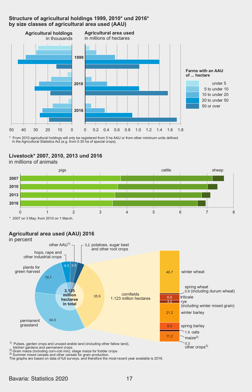#### **Structure of agricultural holdings 1999, 2010\* und 2016\* by size classes of agricultural area used (AAU)**



\* From 2010 agricultural holdings will only be registered from 5 ha AAU or from other minimum units defined in the Agricultural Statistics Act (e.g. from 0.30 ha of special crops).

# **Livestock\* 2007, 2010, 2013 und 2016**

in millions of animals



\* 2007 on 3 May; from 2010 on 1 March.

# **Agricultural area used (AAU) 2016**



2) 3)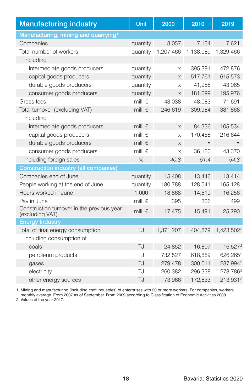| <b>Manufacturing industry</b>                                 | Unit             | 2000      | 2010      | 2019                   |
|---------------------------------------------------------------|------------------|-----------|-----------|------------------------|
| Manufacturing, mining and quarrying <sup>1</sup>              |                  |           |           |                        |
| Companies                                                     | quantity         | 8,057     | 7,134     | 7.621                  |
| Total number of workers                                       | quantity         | 1,207,466 | 1,138,089 | 1,329,466              |
| including                                                     |                  |           |           |                        |
| intermediate goods producers                                  | quantity         | X         | 395,391   | 472,876                |
| capital goods producers                                       | quantity         | X         | 517,761   | 615,573                |
| durable goods producers                                       | quantity         | X         | 41,955    | 43.065                 |
| consumer goods producers                                      | quantity         | X         | 181,099   | 195,976                |
| Gross fees                                                    | mill. $\epsilon$ | 43.038    | 48,083    | 71.691                 |
| Total turnover (excluding VAT)                                | mill. $\epsilon$ | 246,619   | 309,984   | 381,868                |
| including                                                     |                  |           |           |                        |
| intermediate goods producers                                  | mill. $\epsilon$ | X         | 84,336    | 105,534                |
| capital goods producers                                       | mill. $\epsilon$ | X         | 170,458   | 216,644                |
| durable goods producers                                       | mill. $\epsilon$ | X         | $\bullet$ |                        |
| consumer goods producers                                      | mill. $\epsilon$ | X         | 36.130    | 43,370                 |
| including foreign sales                                       | %                | 40.3      | 51.4      | 54.3                   |
| <b>Construction industry (all companies)</b>                  |                  |           |           |                        |
| Companies end of June                                         | quantity         | 15,408    | 13,446    | 13,414                 |
| People working at the end of June                             | quantity         | 180,788   | 128,541   | 165,128                |
| Hours worked in June                                          | 1,000            | 18,868    | 14,519    | 16,256                 |
| Pay in June                                                   | mill. $\epsilon$ | 395       | 306       | 499                    |
| Construction turnover in the previous year<br>(excluding VAT) | mill. $\epsilon$ | 17,475    | 15,491    | 25,290                 |
| <b>Energy Industry</b>                                        |                  |           |           |                        |
| Total of final energy consumption                             | TJ               | 1,371,207 | 1,404,879 | 1,423,502 <sup>2</sup> |
| including consumption of                                      |                  |           |           |                        |
| coals                                                         | TJ               | 24.852    | 16.807    | 16.5272                |
| petroleum products                                            | TJ               | 732,527   | 618,889   | 626,265 <sup>2</sup>   |
| gases                                                         | <b>TJ</b>        | 279,478   | 300,011   | 287,9942               |
| electricity                                                   | TJ               | 260,382   | 296,338   | 278,786 <sup>2</sup>   |
| other energy sources                                          | TJ               | 73,966    | 172,833   | 213,9312               |

1 Mining and manufacturing (including craft industries) of enterprises with 20 or more workers. For companies, workers<br>monthly average. From 2007 as of September. From 2009 according to Classification of Economic Activitie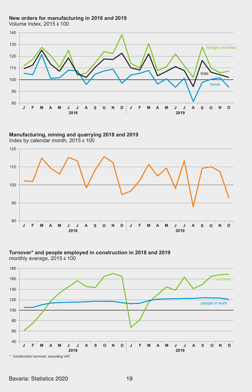**New orders for manufacturing in 2018 and 2019** Volume Index,  $2015 \triangleq 100$ 



**Manufacturing, mining and quarrying 2018 and 2019** Index by calendar month,  $2015 \div 100$ 



**Turnover\* and people employed in construction in 2018 and 2019** monthly average,  $2015 \div 100$ 



Bavaria: Statistics 2020 19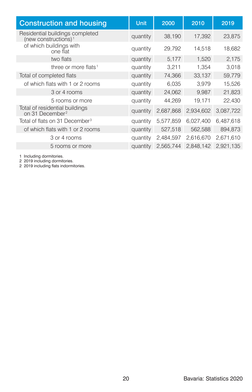| <b>Construction and housing</b>                                     | Unit     | 2000      | 2010      | 2019      |
|---------------------------------------------------------------------|----------|-----------|-----------|-----------|
| Residential buildings completed<br>(new constructions) <sup>1</sup> | quantity | 38,190    | 17.392    | 23,875    |
| of which buildings with<br>one flat                                 | quantity | 29,792    | 14,518    | 18,682    |
| two flats                                                           | quantity | 5,177     | 1,520     | 2,175     |
| three or more flats <sup>1</sup>                                    | quantity | 3,211     | 1.354     | 3,018     |
| Total of completed flats                                            | quantity | 74,366    | 33,137    | 59,779    |
| of which flats with 1 or 2 rooms                                    | quantity | 6,035     | 3.979     | 15,526    |
| 3 or 4 rooms                                                        | quantity | 24,062    | 9.987     | 21,823    |
| 5 rooms or more                                                     | quantity | 44,269    | 19,171    | 22,430    |
| Total of residential buildings<br>on 31 December <sup>2</sup>       | quantity | 2,687,868 | 2,934,602 | 3,087,722 |
| Total of flats on 31 December <sup>3</sup>                          | quantity | 5,577,859 | 6,027,400 | 6,487,618 |
| of which flats with 1 or 2 rooms                                    | quantity | 527,518   | 562,588   | 894,873   |
| 3 or 4 rooms                                                        | quantity | 2,484,597 | 2,616,670 | 2,671,610 |
| 5 rooms or more                                                     | quantity | 2.565.744 | 2.848.142 | 2.921.135 |

1 Including dormitories. 2 2019 including dormitories. 2 2019 including flats indormitories.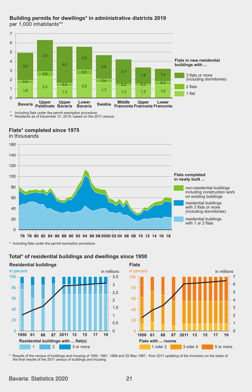

#### **Building permits for dwellings\* in administrative districts 2019** per 1,000 inhabitants\*\*

 Including flats under the permit exemption procedure. Residents as of Dezember 31, 2019, based on the 2011 census. \* \*\*

#### **Flats\* completed since 1975** in thousands

100 120 140  $160$ 

**Flats completed in newly built ...**

non-residential buildings including construction work on existing buildings

residential buildings with 3 flats or more (including dormitories)

residential buildings with 1 or 2 flats

\* Including flats under the permit exemption procedure.

**THEFT** 

**The College College** 



#### **Total\* of residential buildings and dwellings since 1950**

**76 78 80 82 84 86 88 90 92 94 96 98 2000 02 04 06 08 10 12 14 16 18**

والمناصب وتماريتها والمراجعة وتنوا وتمريحها وتحاربها

**Flats** in millions  $\overline{0}$ 1 2 3 in percent **Flats with ... rooms** 1 oder 2 3 oder 4 5 or more 4 5 6 7 20  $40$  $60$  $\overline{80}$ 100 **1950 61 68 87 2011 13 15 17 19**

\* Results of the census of buildings and housing of 1950, 1961, 1968 and 25 May 1987; the final results of the 2011 census of buildings and housing. from 2011 updating of the inventory on the basis of

┯

 $\overline{\phantom{a}}$ 

 $\overline{\phantom{0}}$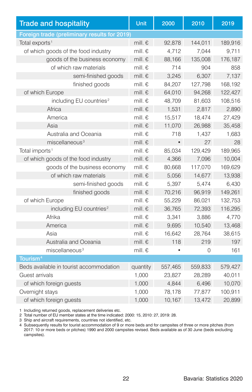| <b>Trade and hospitality</b>                 | Unit             | 2000      | 2010     | 2019    |
|----------------------------------------------|------------------|-----------|----------|---------|
| Foreign trade (preliminary results for 2019) |                  |           |          |         |
| Total exports <sup>1</sup>                   | mill. $\epsilon$ | 92,878    | 144,011  | 189,916 |
| of which goods of the food industry          | mill. $\epsilon$ | 4,712     | 7,044    | 9,711   |
| goods of the business economy                | mill. $\epsilon$ | 88,166    | 135,008  | 176,187 |
| of which raw materials                       | mill. $\epsilon$ | 714       | 904      | 858     |
| semi-finished goods                          | mill. $\epsilon$ | 3,245     | 6,307    | 7,137   |
| finished goods                               | mill. $\epsilon$ | 84.207    | 127.798  | 168.192 |
| of which Europe                              | mill. $\epsilon$ | 64,010    | 94.268   | 122,427 |
| including EU countries <sup>2</sup>          | mill. €          | 48,709    | 81,603   | 108,516 |
| Africa                                       | mill. $\epsilon$ | 1,531     | 2,817    | 2,890   |
| America                                      | mill. $\epsilon$ | 15,517    | 18,474   | 27,429  |
| Asia                                         | mill. $\epsilon$ | 11,070    | 26,988   | 35,458  |
| Australia and Oceania                        | mill. $\epsilon$ | 718       | 1,437    | 1,683   |
| miscellaneous <sup>3</sup>                   | mill. $\epsilon$ | $\bullet$ | 27       | 28      |
| Total imports <sup>1</sup>                   | mill. €          | 85.034    | 129,429  | 189,965 |
| of which goods of the food industry          | mill. $\epsilon$ | 4.366     | 7.096    | 10,004  |
| goods of the business economy                | mill. $\epsilon$ | 80,668    | 117,070  | 169,629 |
| of which raw materials                       | mill. $\epsilon$ | 5,056     | 14,677   | 13,938  |
| semi-finished goods                          | mill. $\epsilon$ | 5.397     | 5,474    | 6,430   |
| finished goods                               | mill. $\epsilon$ | 70,216    | 96,919   | 149,261 |
| of which Europe                              | mill. $\epsilon$ | 55,229    | 86,021   | 132,753 |
| including EU countries <sup>2</sup>          | mill. €          | 36,765    | 72,393   | 116,295 |
| Afrika                                       | mill. €          | 3.341     | 3.886    | 4,770   |
| America                                      | mill. $\epsilon$ | 9,695     | 10,540   | 13,468  |
| Asia                                         | mill. $\epsilon$ | 16.642    | 28.764   | 38,615  |
| Australia and Oceania                        | mill. $\epsilon$ | 118       | 219      | 197     |
| miscellaneous <sup>3</sup>                   | mill. $\epsilon$ |           | $\Omega$ | 161     |
| Tourism <sup>4</sup>                         |                  |           |          |         |
| Beds available in tourist accommodation      | quantity         | 557,465   | 559,833  | 579,427 |
| Guest arrivals                               | 1,000            | 23,827    | 28,289   | 40,011  |
| of which foreign guests                      | 1.000            | 4.844     | 6.496    | 10,070  |
| Overnight stays                              | 1.000            | 78.178    | 77.877   | 100,911 |
| of which foreign guests                      | 1,000            | 10,167    | 13,472   | 20,899  |

1 Including returned goods, replacement deliveries etc.

2 Total number of EU member states at the time indicated: 2000: 15, 2010: 27, 2019: 28.

3 Ship and aircraft requirements, countries not identified, etc.

4 Subsequently results for tourist accommodation of 9 or more beds and for campsites of three or more pitches (from 2017: 10 or more beds or pitches) 1990 and 2000 campsites revised. Beds available as of 30 June (beds excluding campsites).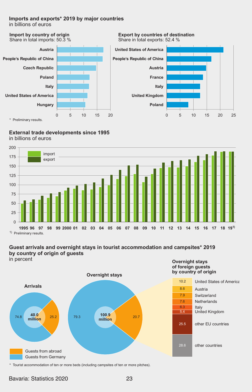#### **Imports and exports\* 2019 by major countries**

in billions of euros **Imports and exports\* 2019 by major countries Imports and exports\* 2019 by major countries** in billions of euros



**Export by countries of destination** Share in total exports: 52.4 %



# **External trade developments since 1995 External trade developments since 1995** in billions of euros in billions of euros **External trade developments since 1995**



# **by country of origin of guests Guest arrivals and overnight stays in tourist accommodation and campsites\* 2019 Guest arrivals and overnight stays in tourist accommodation and campsites\* 2019**  in percent **by country of origin of guests by country of origin of guests**

in percent in percent



**of foreign guests Overnight stays of foreign guests Overnight stays by country of origin of foreign guests**  or loreign guests<br>by country of origin



\* Tourist accommodation of ten or more beds (including campsites of ten or more pitches).

# Bavaria: Statistics 2020 23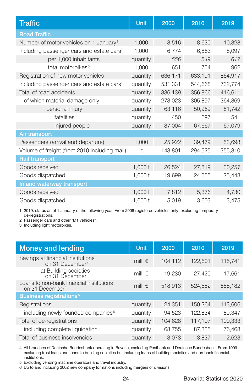| <b>Traffic</b>                                        | Unit      | 2000    | 2010    | 2019    |
|-------------------------------------------------------|-----------|---------|---------|---------|
| <b>Road Traffic</b>                                   |           |         |         |         |
| Number of motor vehicles on 1 January <sup>1</sup>    | 1.000     | 8,516   | 8,630   | 10,328  |
| including passenger cars and estate cars <sup>2</sup> | 1,000     | 6.774   | 6,863   | 8,097   |
| per 1,000 inhabitants                                 | quantity  | 556     | 549     | 617     |
| total motorbikes <sup>3</sup>                         | 1,000     | 651     | 754     | 962     |
| Registration of new motor vehicles                    | quantity  | 636,171 | 633,191 | 864,917 |
| including passenger cars and estate cars <sup>2</sup> | quantity  | 531,331 | 544,668 | 732,774 |
| Total of road accidents                               | quantity  | 336,139 | 356,866 | 416,611 |
| of which material damage only                         | quantity  | 273,023 | 305,897 | 364,869 |
| personal injury                                       | quantity  | 63,116  | 50,969  | 51,742  |
| fatalities                                            | quantity  | 1,450   | 697     | 541     |
| injured people                                        | quantity  | 87,004  | 67,667  | 67,079  |
| Air transport                                         |           |         |         |         |
| Passengers (arrival and departure)                    | 1,000     | 25,922  | 39,479  | 53,698  |
| Volume of freight (from 2010 including mail)          | t         | 143,801 | 294,525 | 355,310 |
| <b>Rail transport</b>                                 |           |         |         |         |
| Goods received                                        | $1,000$ t | 26,524  | 27,819  | 30,257  |
| Goods dispatched                                      | 1,000 t   | 19,699  | 24,555  | 25,448  |
| Inland waterway transport                             |           |         |         |         |
| Goods received                                        | $1,000$ t | 7,812   | 5,376   | 4,730   |
| Goods dispatched                                      | 1,000t    | 5,019   | 3,603   | 3,475   |

1 2019: status as of 1 January of the following year. From 2008 registered vehicles only; excluding temporary de-registrations.

2 Passenger cars and other "M1 vehicles".

3 Including light motorbikes.

| <b>Money and lending</b>                                                | Unit             | 2000    | 2010    | 2019    |
|-------------------------------------------------------------------------|------------------|---------|---------|---------|
| Savings at financial institutions<br>on 31 December <sup>4</sup>        | mill. $\epsilon$ | 104.112 | 122.601 | 115.741 |
| at Building societies<br>on 31 December                                 | mill. $\epsilon$ | 19.230  | 27.420  | 17.661  |
| Loans to non-bank financial institutions<br>on 31 December <sup>4</sup> | mill. $\epsilon$ | 518,913 | 524.552 | 588,182 |
| <b>Business registrations<sup>5</sup></b>                               |                  |         |         |         |
| Registrations                                                           | quantity         | 124.351 | 150,264 | 113,606 |
| including newly founded companies <sup>6</sup>                          | quantity         | 94.523  | 122.834 | 89.347  |
| Total of de-registrations                                               | quantity         | 104.628 | 117.107 | 100.333 |
| including complete liquidation                                          | quantity         | 68.755  | 87.335  | 76,468  |
| Total of business insolvencies                                          | quantity         | 3.073   | 3.837   | 2.623   |

4 All branches of Deutsche Bundesbank operating in Bavaria, excluding Postbank and Deutsche Bundesbank. From 1999<br>excluding trust loans and loans to building societies but including loans of building societies and non-bank institutions.

5 Excluding vending machine operators and travel industry.

6 Up to and including 2002 new company formations including mergers or divisions.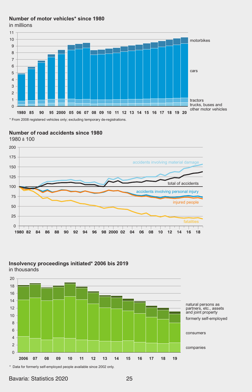# **Number of motor vehicles\* since 1980 Number of motor vehicles\* since 1980**

in millions in millions



# **Number of road accidents since 1980** 1980 ‡ 100 **Number of road accidents since 1980**



# **Insolvency proceedings initiated\* 2006 bis 2019 in solvency procee**<br>in thousands



\* Data for formerly self-employed people available since 2002 only.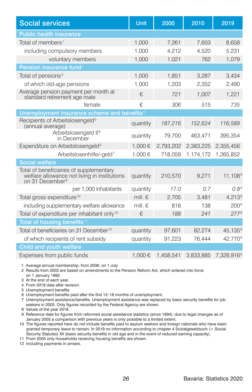| <b>Social services</b>                                                                                                 | Unit             | 2000      | 2010      | 2019                   |
|------------------------------------------------------------------------------------------------------------------------|------------------|-----------|-----------|------------------------|
| <b>Public health insurance</b>                                                                                         |                  |           |           |                        |
| Total of members <sup>1</sup>                                                                                          | 1.000            | 7.261     | 7.603     | 8,658                  |
| including compulsory members                                                                                           | 1.000            | 4.212     | 4.520     | 5.231                  |
| voluntary members                                                                                                      | 1.000            | 1,021     | 762       | 1,079                  |
| Pension insurance fund <sup>2</sup>                                                                                    |                  |           |           |                        |
| Total of pensions <sup>3</sup>                                                                                         | 1,000            | 1,851     | 3,287     | 3,434                  |
| of which old-age pensions                                                                                              | 1,000            | 1.203     | 2,352     | 2,490                  |
| Average pension payment per month at<br>standard retirement age male                                                   | €                | 721       | 1.007     | 1,221                  |
| female                                                                                                                 | €,               | 306       | 515       | 735                    |
| Unemployment insurance scheme and benefits <sup>4</sup>                                                                |                  |           |           |                        |
| Recipients of Arbeitslosengeld <sup>5</sup><br>(annual average)                                                        | quantity         | 187,216   | 152,624   | 116,589                |
| Arbeitslosengeld II <sup>6</sup><br>in December                                                                        | quantity         | 79,700    | 463,471   | 395,354                |
| Expenditure on Arbeitslosengeld <sup>5</sup>                                                                           | 1.000€           | 2,793,202 | 2.383.225 | 2,355,456              |
| Arbeitslosenhilfe/-geld <sup>7</sup>                                                                                   | 1.000€           | 718.059   | 1,174,172 | 1.265.852              |
| <b>Social welfare</b>                                                                                                  |                  |           |           |                        |
| Total of beneficiaries of supplementary<br>welfare allowance not living in institutions<br>on 31 December <sup>8</sup> | quantity         | 210,570   | 9,271     | 11.108 <sup>9</sup>    |
| per 1,000 inhabitants                                                                                                  | quantity         | 17.0      | 0.7       | $0.8^9$                |
| Total gross expenditure <sup>10</sup>                                                                                  | mill. $\epsilon$ | 2,705     | 3,481     | $4.213^9$              |
| including supplementary welfare allowance                                                                              | mill. $\epsilon$ | 818       | 138       | $200^9$                |
| Total of expenditure per inhabitant only <sup>10</sup>                                                                 | €,               | 188       | 241       | 2779                   |
| Total of housing benefits <sup>11</sup>                                                                                |                  |           |           |                        |
| Total of beneficiaries on 31 December <sup>12</sup>                                                                    | quantity         | 97,601    | 82,274    | 45,135 <sup>9</sup>    |
| of which recipients of rent subsidy                                                                                    | quantity         | 91,223    | 76,444    | 42,770 <sup>9</sup>    |
| Child and youth welfare                                                                                                |                  |           |           |                        |
| Expenses from public funds                                                                                             | 1.000€           | 1,458,541 | 3,833,885 | 7,328,916 <sup>9</sup> |

1 Average annual membership; from 2006: on 1 July

- 2 Results from 2003 are based on amendments to the Pension Reform Act, which entered into force on 1 January 1992.
- 3 At the end of each year.
- 4 From 2019 data after revision.
- 5 Unemployment benefits.
- 6 Unemployment benefits paid after the first 12–18 months of unemployment.
- 7 Unemployment assistance/benefits. Unemployment assistance was replaced by basic security benefits for job seekers in 2005. Only figures recorded by the Federal Agency are shown.
- 8 Values of the year 2018.
- 9 Reference date for figures from reformed social assistance statistics (since 1994); due to legal changes as of January 2005 a comparison with previous years is only possible to a limited extent.
- 10 The figures reported here do not include benefits paid to asylum seekers and foreign nationals who have been granted temporary leave to remain. In 2019 no information according to chapter 4 Sozialgesetzbuch (= Social Security Statutes) XII (basic security benefits in old age and in the event of reduced earning capacity).
- 11 From 2005 only households receiving housing benefits are shown.
- 12 Including payments in arrears.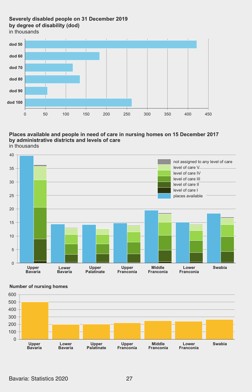# **Severely disabled people on 31 December 2019 by degree of disability (dod)**

in thousands



#### **Places available and people in need of care in nursing homes on 15 December 2017 by administrative districts and levels of care** in thousands





#### **Number of nursing homes**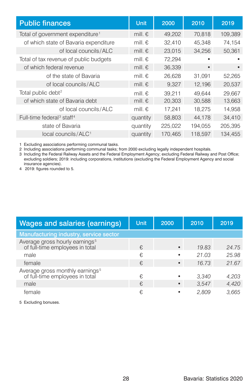| <b>Public finances</b>                            | Unit             | 2000    | 2010      | 2019      |
|---------------------------------------------------|------------------|---------|-----------|-----------|
| Total of government expenditure <sup>1</sup>      | mill. $\epsilon$ | 49,202  | 70.818    | 109,389   |
| of which state of Bavaria expenditure             | mill. $\epsilon$ | 32,410  | 45,348    | 74,154    |
| of local councils/ALC                             | mill. $\epsilon$ | 23,015  | 34.256    | 50.361    |
| Total of tax revenue of public budgets            | mill. $\epsilon$ | 72,294  | ٠         |           |
| of which federal revenue                          | mill. $\epsilon$ | 36,339  | $\bullet$ | $\bullet$ |
| of the state of Bavaria                           | mill. $\epsilon$ | 26,628  | 31,091    | 52,265    |
| of local councils/ALC                             | mill. $\epsilon$ | 9.327   | 12.196    | 20,537    |
| Total public debt <sup>2</sup>                    | mill. $\epsilon$ | 39.211  | 49.644    | 29.667    |
| of which state of Bavaria debt                    | mill. $\epsilon$ | 20.303  | 30.588    | 13.663    |
| of local councils/ALC                             | mill. $\epsilon$ | 17,241  | 18,275    | 14,958    |
| Full-time federal <sup>3</sup> staff <sup>4</sup> | quantity         | 58,803  | 44,178    | 34,410    |
| state of Bavaria                                  | quantity         | 225,022 | 194,055   | 205.395   |
| local councils/ALC <sup>1</sup>                   | quantity         | 170.465 | 118.597   | 134.455   |

1 Excluding associations performing communal tasks.

2 Including associations performing communal tasks; from 2000 excluding legally independent hospitals.<br>3 Including the Federal Railway Assets and the Federal Employment Agency; excluding Federal Railway and Post Office;<br> insurance agencies).

4 2019: figures rounded to 5.

| Wages and salaries (earnings)                                                  | Unit | 2000      | 2010  | 2019  |
|--------------------------------------------------------------------------------|------|-----------|-------|-------|
| Manufacturing industry, service sector                                         |      |           |       |       |
| Average gross hourly earnings <sup>5</sup><br>of full-time employees in total  | €    | $\bullet$ | 19.83 | 24.75 |
| male                                                                           | €    | ٠         | 21.03 | 25.98 |
| female                                                                         | €    | $\bullet$ | 16.73 | 21.67 |
| Average gross monthly earnings <sup>5</sup><br>of full-time employees in total | €    |           | 3.340 | 4,203 |
| male                                                                           | €    | $\bullet$ | 3.547 | 4.420 |
| female                                                                         | €    |           | 2.809 | 3.665 |

5 Excluding bonuses.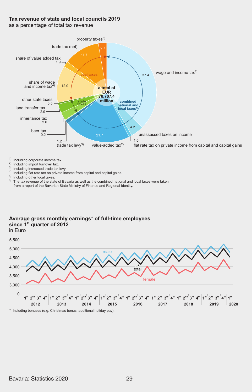## Tax revenue of state and local councils 2019

as a percentage of total tax revenue



<sup>1)</sup> Including corporate income tax.<br><sup>2)</sup> Including import turnover tax.

- Including import turnover tax.
- <sup>2)</sup> Including import turnover tax.<br><sup>3)</sup> Including increased trade tax levy.
- <sup>4)</sup> Including flat rate tax on private income from capital and capital gains.

Including other local taxes.

<sup>5)</sup> Including other local taxes.<br><sup>6)</sup> The tax revenue of the state of Bavaria as well as the combined national and local taxes were taken from a report of the Bavarian State Ministry of Finance and Regional Identity.

# **Average gross monthly earnings\* of full-time employees** in Euro je Einwohner since 1<sup>st</sup> quarter of 2012

in Euro



Bavaria: Statistics 2020 29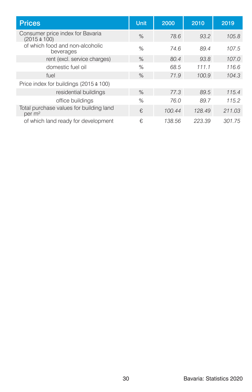| <b>Prices</b>                                                 | Unit | 2000   | 2010   | 2019   |
|---------------------------------------------------------------|------|--------|--------|--------|
| Consumer price index for Bavaria<br>$(2015 \triangleq 100)$   | $\%$ | 78.6   | 93.2   | 105.8  |
| of which food and non-alcoholic<br>beverages                  | $\%$ | 74.6   | 89.4   | 107.5  |
| rent (excl. service charges)                                  | $\%$ | 80.4   | 93.8   | 107.0  |
| domestic fuel oil                                             | %    | 68.5   | 111.1  | 116.6  |
| fuel                                                          | $\%$ | 71.9   | 100.9  | 104.3  |
| Price index for buildings (2015 $\triangleq$ 100)             |      |        |        |        |
| residential buildings                                         | $\%$ | 77.3   | 89.5   | 115.4  |
| office buildings                                              | $\%$ | 76.0   | 89.7   | 115.2  |
| Total purchase values for building land<br>per m <sup>2</sup> | €    | 100.44 | 128.49 | 211.03 |
| of which land ready for development                           | €,   | 138.56 | 223.39 | 301.75 |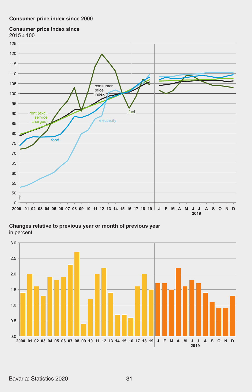## **Consumer price index since 2000 Consumer price index since 2000**

# **Consumer price index since Consumer price index since**

2015 ‡ 100 2015 ‡ 100



**Changes relative to previous year or month of previous year Changes relative to previous year or month of previous year** in percent in percent

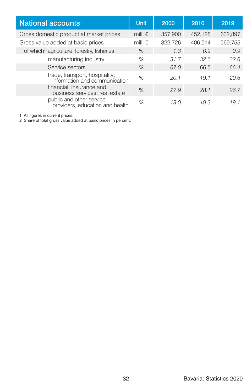| National accounts <sup>1</sup>                                  | Unit             | 2000    | 2010    | 2019    |
|-----------------------------------------------------------------|------------------|---------|---------|---------|
| Gross domestic product at market prices                         | mill. $\epsilon$ | 357,900 | 452,128 | 632,897 |
| Gross value added at basic prices                               | mill. $\epsilon$ | 322,726 | 406.514 | 569,755 |
| of which <sup>2</sup> agriculture, forestry, fisheries          | %                | 1.3     | 0.9     | 0.9     |
| manufacturing industry                                          | %                | 31.7    | 32.6    | 32.6    |
| Service sectors                                                 | $\%$             | 67.0    | 66.5    | 66.4    |
| trade, transport, hospitality;<br>information and communication | %                | 20.1    | 19.1    | 20.6    |
| financial, insurance and<br>business services; real estate      | $\%$             | 27.9    | 28.1    | 26.7    |
| public and other service<br>providers, education and health     | $\%$             | 19.0    | 19.3    | 19.1    |

1 All figures in current prices. 2 Share of total gross value added at basic prices in percent.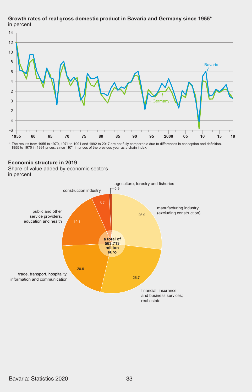# **Growth rates of real gross domestic product in Bavaria and Germany since 1955\*** in percent sional in



\* The results from 1955 to 1970, 1971 to 1991 and 1992 to 2017 are not fully comparable due to differences in conception and definition. 1955 to 1970 in 1991 prices, since 1971 in prices of the previous year as a chain index.

## **Economic structure in 2019**

**Economic structure in 2019** in percent Share of value added by economic sectors

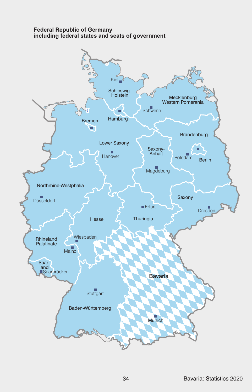## **Federal Republic of Germany including federal states and seats of government**